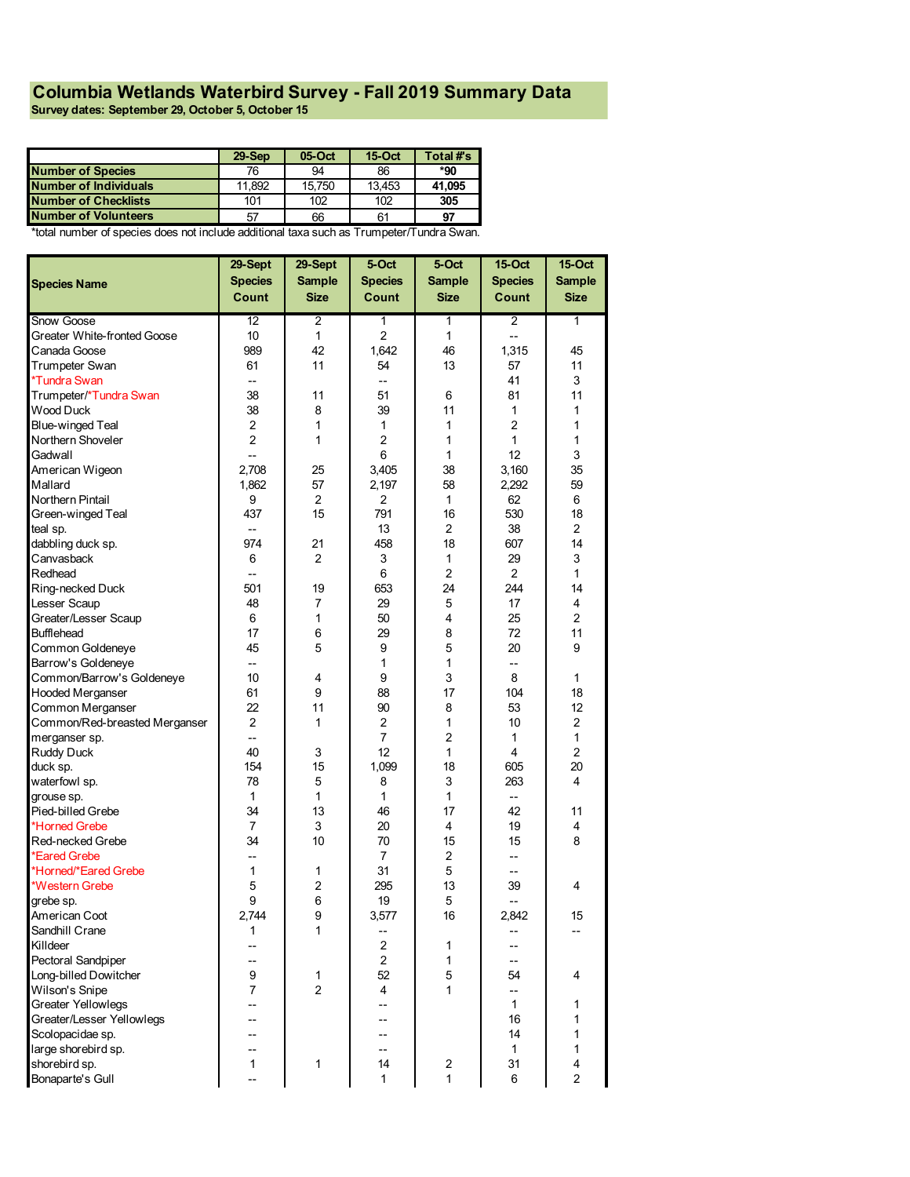## **Columbia Wetlands Waterbird Survey - Fall 2019 Summary Data**

**Survey dates: September 29, October 5, October 15**

|                             | $29 -$ Sep | 05-Oct | $15$ -Oct | Total #'s |
|-----------------------------|------------|--------|-----------|-----------|
| <b>Number of Species</b>    | 76         | 94     | 86        | *90       |
| Number of Individuals       | 11.892     | 15.750 | 13.453    | 41.095    |
| <b>Number of Checklists</b> | 101        | 102    | 102       | 305       |
| <b>Number of Volunteers</b> | 57         | 66     | 61        | 97        |

\*total number of species does not include additional taxa such as Trumpeter/Tundra Swan.

|                               | 29-Sept                  | 29-Sept        | 5-Oct          | 5-Oct          | <b>15-Oct</b>  | <b>15-Oct</b>  |
|-------------------------------|--------------------------|----------------|----------------|----------------|----------------|----------------|
| <b>Species Name</b>           | <b>Species</b>           | <b>Sample</b>  | <b>Species</b> | <b>Sample</b>  | <b>Species</b> | <b>Sample</b>  |
|                               | <b>Count</b>             | <b>Size</b>    | Count          | <b>Size</b>    | Count          | <b>Size</b>    |
| Snow Goose                    | 12                       | 2              | 1              | 1              | $\overline{2}$ | 1              |
| Greater White-fronted Goose   | 10                       | $\mathbf{1}$   | $\overline{2}$ | $\mathbf{1}$   | $\overline{a}$ |                |
| Canada Goose                  | 989                      | 42             | 1.642          | 46             | 1,315          | 45             |
| Trumpeter Swan                | 61                       | 11             | 54             | 13             | 57             | 11             |
| *Tundra Swan                  | $-$                      |                | --             |                | 41             | 3              |
| Trumpeter/*Tundra Swan        | 38                       | 11             | 51             | 6              | 81             | 11             |
| Wood Duck                     | 38                       | 8              | 39             | 11             | 1              | 1              |
| Blue-winged Teal              | 2                        | 1              | 1              | 1              | $\overline{c}$ | 1              |
| Northern Shoveler             | $\overline{c}$           | 1              | $\overline{2}$ | 1              | $\mathbf{1}$   | 1              |
| Gadwall                       | --                       |                | 6              | 1              | 12             | 3              |
| American Wigeon               | 2,708                    | 25             | 3,405          | 38             | 3,160          | 35             |
| Mallard                       | 1,862                    | 57             | 2,197          | 58             | 2,292          | 59             |
| Northern Pintail              | 9                        | $\overline{2}$ | $\overline{2}$ | $\mathbf{1}$   | 62             | 6              |
| Green-winged Teal             | 437                      | 15             | 791            | 16             | 530            | 18             |
| teal sp.                      | --                       |                | 13             | 2              | 38             | $\overline{c}$ |
| dabbling duck sp.             | 974                      | 21             | 458            | 18             | 607            | 14             |
| Canvasback                    | 6                        | $\overline{2}$ | 3              | 1              | 29             | 3              |
| Redhead                       | $\overline{\phantom{a}}$ |                | 6              | $\overline{2}$ | $\overline{2}$ | $\mathbf{1}$   |
| Ring-necked Duck              | 501                      | 19             | 653            | 24             | 244            | 14             |
| Lesser Scaup                  | 48                       | 7              | 29             | 5              | 17             | 4              |
| Greater/Lesser Scaup          | 6                        | 1              | 50             | 4              | 25             | $\overline{c}$ |
| <b>Bufflehead</b>             | 17                       | 6              | 29             | 8              | 72             | 11             |
| Common Goldeneye              | 45                       | 5              | 9              | 5              | 20             | 9              |
| Barrow's Goldeneye            | --                       |                | 1              | 1              | --             |                |
| Common/Barrow's Goldeneye     | 10                       | 4              | 9              | 3              | 8              | 1              |
| <b>Hooded Merganser</b>       | 61                       | 9              | 88             | 17             | 104            | 18             |
| Common Merganser              | 22                       | 11             | 90             | 8              | 53             | 12             |
| Common/Red-breasted Merganser | $\overline{2}$           | 1              | 2              | 1              | 10             | $\overline{c}$ |
| merganser sp.                 | $\overline{\phantom{a}}$ |                | $\overline{7}$ | $\overline{2}$ | $\mathbf{1}$   | 1              |
| Ruddy Duck                    | 40                       | 3              | 12             | 1              | 4              | $\overline{2}$ |
| duck sp.                      | 154                      | 15             | 1,099          | 18             | 605            | 20             |
| waterfowl sp.                 | 78                       | 5              | 8              | 3              | 263            | 4              |
| grouse sp.                    | 1                        | 1              | 1              | $\mathbf{1}$   | --             |                |
| Pied-billed Grebe             | 34                       | 13             | 46             | 17             | 42             | 11             |
| *Horned Grebe                 | $\overline{7}$           | 3              | 20             | 4              | 19             | 4              |
| Red-necked Grebe              | 34                       | 10             | 70             | 15             | 15             | 8              |
| *Eared Grebe                  | $-$                      |                | $\overline{7}$ | $\overline{2}$ | $-$            |                |
| *Horned/*Eared Grebe          | 1                        | 1              | 31             | 5              | $-$            |                |
| *Western Grebe                | 5                        | $\overline{c}$ | 295            | 13             | 39             | 4              |
| grebe sp.                     | 9                        | 6              | 19             | 5              | --             |                |
| American Coot                 | 2.744                    | 9              | 3,577          | 16             | 2.842          | 15             |
| Sandhill Crane                | 1                        | 1              | --             |                |                |                |
| Killdeer                      | --                       |                | $\overline{2}$ | 1              | --             |                |
| Pectoral Sandpiper            | $-$                      |                | $\overline{c}$ | 1              | --             |                |
| Long-billed Dowitcher         | 9                        | 1              | 52             | 5              | 54             | 4              |
| Wilson's Snipe                | 7                        | $\overline{2}$ | 4              | 1              | --             |                |
| <b>Greater Yellowlegs</b>     | --                       |                | --             |                | $\mathbf{1}$   | 1              |
| Greater/Lesser Yellowlegs     |                          |                |                |                | 16             | 1              |
| Scolopacidae sp.              | --                       |                | --             |                | 14             | 1              |
| large shorebird sp.           | --                       |                | --             |                | $\mathbf{1}$   | 1              |
| shorebird sp.                 | 1                        | 1              | 14             | 2              | 31             | 4              |
| Bonaparte's Gull              | $\overline{\phantom{a}}$ |                | 1              | $\mathbf{1}$   | $\,6$          | 2              |